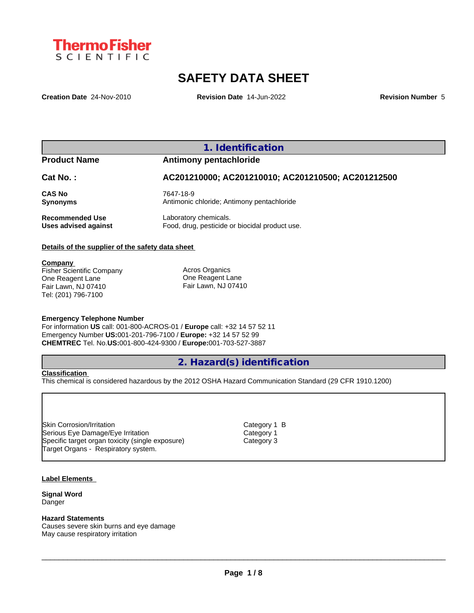

# **SAFETY DATA SHEET**

**Creation Date** 24-Nov-2010 **Revision Date** 14-Jun-2022 **Revision Number** 5

## **1. Identification**

## **Product Name Antimony pentachloride**

## **Cat No. : AC201210000; AC201210010; AC201210500; AC201212500**

**CAS No** 7647-18-9 **Synonyms Antimonic chloride**; Antimony pentachloride

**Recommended Use** Laboratory chemicals.<br> **Uses advised against** Food, drug, pesticide of Food, drug, pesticide or biocidal product use.

## **Details of the supplier of the safety data sheet**

**Company**  Fisher Scientific Company One Reagent Lane Fair Lawn, NJ 07410 Tel: (201) 796-7100

Acros Organics One Reagent Lane Fair Lawn, NJ 07410

## **Emergency Telephone Number**

For information **US** call: 001-800-ACROS-01 / **Europe** call: +32 14 57 52 11 Emergency Number **US:**001-201-796-7100 / **Europe:** +32 14 57 52 99 **CHEMTREC** Tel. No.**US:**001-800-424-9300 / **Europe:**001-703-527-3887

## **2. Hazard(s) identification**

## **Classification**

This chemical is considered hazardous by the 2012 OSHA Hazard Communication Standard (29 CFR 1910.1200)

Skin Corrosion/Irritation Category 1 B Serious Eye Damage/Eye Irritation Category 1 Specific target organ toxicity (single exposure) Category 3 Target Organs - Respiratory system.

#### **Label Elements**

**Signal Word** Danger

#### **Hazard Statements**

Causes severe skin burns and eye damage May cause respiratory irritation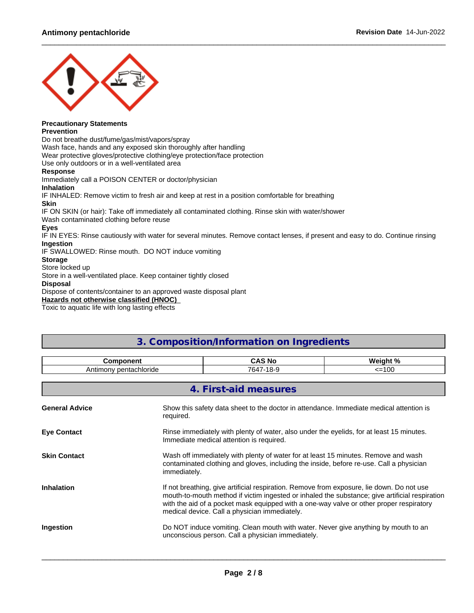

## **Precautionary Statements**

### **Prevention**

Do not breathe dust/fume/gas/mist/vapors/spray

Wash face, hands and any exposed skin thoroughly after handling

Wear protective gloves/protective clothing/eye protection/face protection

Use only outdoors or in a well-ventilated area

## **Response**

Immediately call a POISON CENTER or doctor/physician **Inhalation** IF INHALED: Remove victim to fresh air and keep at rest in a position comfortable for breathing **Skin** IF ON SKIN (or hair): Take off immediately all contaminated clothing. Rinse skin with water/shower Wash contaminated clothing before reuse **Eyes** IF IN EYES: Rinse cautiously with water for several minutes. Remove contact lenses, if present and easy to do. Continue rinsing **Ingestion** IF SWALLOWED: Rinse mouth. DO NOT induce vomiting **Storage** Store locked up Store in a well-ventilated place. Keep container tightly closed **Disposal** Dispose of contents/container to an approved waste disposal plant

**Hazards not otherwise classified (HNOC)**

Toxic to aquatic life with long lasting effects

# **3. Composition/Information on Ingredients**

| <b>Component</b><br>Antimony pentachloride |                                                                                                                                                                                                                                                                                                                                         | <b>CAS No</b>                                                                                                                           | Weight % |
|--------------------------------------------|-----------------------------------------------------------------------------------------------------------------------------------------------------------------------------------------------------------------------------------------------------------------------------------------------------------------------------------------|-----------------------------------------------------------------------------------------------------------------------------------------|----------|
|                                            |                                                                                                                                                                                                                                                                                                                                         | 7647-18-9                                                                                                                               | $=100$   |
|                                            |                                                                                                                                                                                                                                                                                                                                         | 4. First-aid measures                                                                                                                   |          |
| <b>General Advice</b>                      | Show this safety data sheet to the doctor in attendance. Immediate medical attention is<br>required.                                                                                                                                                                                                                                    |                                                                                                                                         |          |
| <b>Eye Contact</b>                         | Rinse immediately with plenty of water, also under the eyelids, for at least 15 minutes.<br>Immediate medical attention is required.                                                                                                                                                                                                    |                                                                                                                                         |          |
| <b>Skin Contact</b>                        | Wash off immediately with plenty of water for at least 15 minutes. Remove and wash<br>contaminated clothing and gloves, including the inside, before re-use. Call a physician<br>immediately.                                                                                                                                           |                                                                                                                                         |          |
| <b>Inhalation</b>                          | If not breathing, give artificial respiration. Remove from exposure, lie down. Do not use<br>mouth-to-mouth method if victim ingested or inhaled the substance; give artificial respiration<br>with the aid of a pocket mask equipped with a one-way valve or other proper respiratory<br>medical device. Call a physician immediately. |                                                                                                                                         |          |
| Ingestion                                  |                                                                                                                                                                                                                                                                                                                                         | Do NOT induce vomiting. Clean mouth with water. Never give anything by mouth to an<br>unconscious person. Call a physician immediately. |          |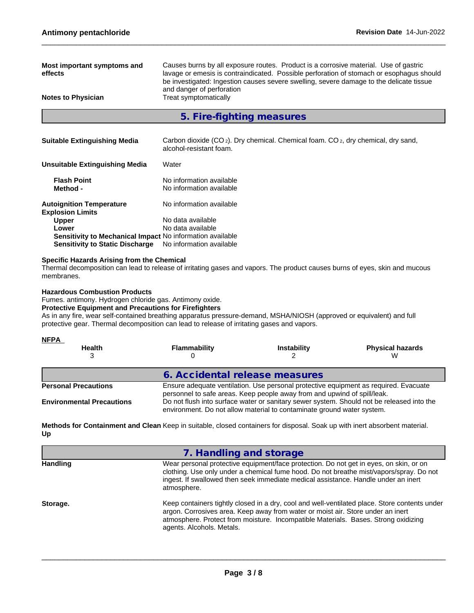| Most important symptoms and<br>effects                     | Causes burns by all exposure routes. Product is a corrosive material. Use of gastric<br>lavage or emesis is contraindicated. Possible perforation of stomach or esophagus should<br>be investigated: Ingestion causes severe swelling, severe damage to the delicate tissue<br>and danger of perforation |  |  |
|------------------------------------------------------------|----------------------------------------------------------------------------------------------------------------------------------------------------------------------------------------------------------------------------------------------------------------------------------------------------------|--|--|
| <b>Notes to Physician</b>                                  | Treat symptomatically                                                                                                                                                                                                                                                                                    |  |  |
|                                                            | 5. Fire-fighting measures                                                                                                                                                                                                                                                                                |  |  |
|                                                            |                                                                                                                                                                                                                                                                                                          |  |  |
| <b>Suitable Extinguishing Media</b>                        | Carbon dioxide (CO <sub>2</sub> ). Dry chemical. Chemical foam. CO <sub>2</sub> , dry chemical, dry sand,<br>alcohol-resistant foam.                                                                                                                                                                     |  |  |
| <b>Unsuitable Extinguishing Media</b>                      | Water                                                                                                                                                                                                                                                                                                    |  |  |
| <b>Flash Point</b>                                         | No information available                                                                                                                                                                                                                                                                                 |  |  |
| Method -                                                   | No information available                                                                                                                                                                                                                                                                                 |  |  |
| <b>Autoignition Temperature</b><br><b>Explosion Limits</b> | No information available                                                                                                                                                                                                                                                                                 |  |  |
| <b>Upper</b>                                               | No data available                                                                                                                                                                                                                                                                                        |  |  |
| Lower                                                      | No data available                                                                                                                                                                                                                                                                                        |  |  |
| Sensitivity to Mechanical Impact No information available  |                                                                                                                                                                                                                                                                                                          |  |  |
| <b>Sensitivity to Static Discharge</b>                     | No information available                                                                                                                                                                                                                                                                                 |  |  |

## **Specific Hazards Arising from the Chemical**

Thermal decomposition can lead to release of irritating gases and vapors. The product causes burns of eyes, skin and mucous membranes.

#### **Hazardous Combustion Products**

Fumes. antimony. Hydrogen chloride gas. Antimony oxide.

## **Protective Equipment and Precautions for Firefighters**

As in any fire, wear self-contained breathing apparatus pressure-demand, MSHA/NIOSH (approved or equivalent) and full protective gear. Thermal decomposition can lead to release of irritating gases and vapors.

| <u>NFPA</u>                      |                                |                                                                          |                                                                                           |
|----------------------------------|--------------------------------|--------------------------------------------------------------------------|-------------------------------------------------------------------------------------------|
| <b>Health</b>                    | Flammability                   | <b>Instability</b>                                                       | <b>Physical hazards</b><br>w                                                              |
|                                  | 6. Accidental release measures |                                                                          |                                                                                           |
| <b>Personal Precautions</b>      |                                | personnel to safe areas. Keep people away from and upwind of spill/leak. | Ensure adequate ventilation. Use personal protective equipment as required. Evacuate      |
| <b>Environmental Precautions</b> |                                | environment. Do not allow material to contaminate ground water system.   | Do not flush into surface water or sanitary sewer system. Should not be released into the |

**Methods for Containment and Clean** Keep in suitable, closed containers for disposal. Soak up with inert absorbent material. **Up**

| 7. Handling and storage                                                                                                                                                                                                                                                                             |
|-----------------------------------------------------------------------------------------------------------------------------------------------------------------------------------------------------------------------------------------------------------------------------------------------------|
| Wear personal protective equipment/face protection. Do not get in eyes, on skin, or on<br>clothing. Use only under a chemical fume hood. Do not breathe mist/vapors/spray. Do not<br>ingest. If swallowed then seek immediate medical assistance. Handle under an inert<br>atmosphere.              |
| Keep containers tightly closed in a dry, cool and well-ventilated place. Store contents under<br>argon. Corrosives area. Keep away from water or moist air. Store under an inert<br>atmosphere. Protect from moisture. Incompatible Materials. Bases. Strong oxidizing<br>agents. Alcohols. Metals. |
|                                                                                                                                                                                                                                                                                                     |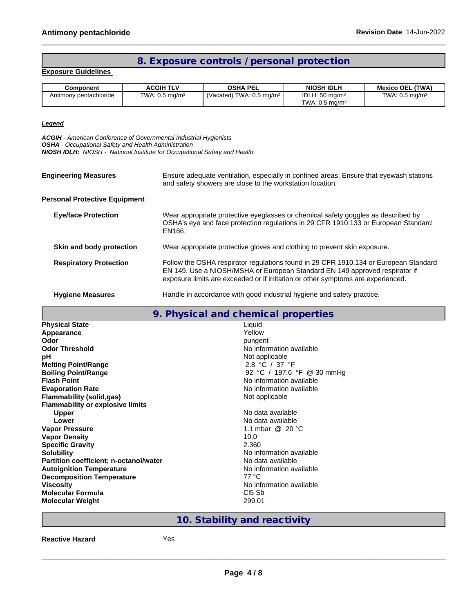# **8. Exposure controls / personal protection**

## **Exposure Guidelines**

| Component              | <b>ACGIH TLV</b>          | <b>OSHA PEL</b>                     | <b>NIOSH IDLH</b>                                         | <b>Mexico OEL (TWA)</b>      |
|------------------------|---------------------------|-------------------------------------|-----------------------------------------------------------|------------------------------|
| Antimony pentachloride | TWA: $0.5 \text{ mg/m}^3$ | (Vacated) TWA: $0.5 \text{ ma/m}^3$ | IDLH: $50 \text{ mg/m}^3$<br>TWA: $0.5$ mg/m <sup>3</sup> | TWA: $0.5$ mg/m <sup>3</sup> |

## *Legend*

*ACGIH - American Conference of Governmental Industrial Hygienists OSHA - Occupational Safety and Health Administration NIOSH IDLH: NIOSH - National Institute for Occupational Safety and Health*

| <b>Engineering Measures</b>          | Ensure adequate ventilation, especially in confined areas. Ensure that eyewash stations<br>and safety showers are close to the workstation location.                                                                                                    |
|--------------------------------------|---------------------------------------------------------------------------------------------------------------------------------------------------------------------------------------------------------------------------------------------------------|
| <b>Personal Protective Equipment</b> |                                                                                                                                                                                                                                                         |
| <b>Eye/face Protection</b>           | Wear appropriate protective eyeglasses or chemical safety goggles as described by<br>OSHA's eye and face protection regulations in 29 CFR 1910.133 or European Standard<br>EN166.                                                                       |
| Skin and body protection             | Wear appropriate protective gloves and clothing to prevent skin exposure.                                                                                                                                                                               |
| <b>Respiratory Protection</b>        | Follow the OSHA respirator regulations found in 29 CFR 1910.134 or European Standard<br>EN 149. Use a NIOSH/MSHA or European Standard EN 149 approved respirator if<br>exposure limits are exceeded or if irritation or other symptoms are experienced. |
|                                      |                                                                                                                                                                                                                                                         |

## **Hygiene Measures Handle in accordance with good industrial hygiene and safety practice.**

|                                         | 9. Physical and chemical properties |
|-----------------------------------------|-------------------------------------|
| <b>Physical State</b>                   | Liquid                              |
| Appearance                              | Yellow                              |
| Odor                                    | pungent                             |
| <b>Odor Threshold</b>                   | No information available            |
| рH                                      | Not applicable                      |
| <b>Melting Point/Range</b>              | 2.8 °C / 37 °F                      |
| <b>Boiling Point/Range</b>              | 92 °C / 197.6 °F @ 30 mmHg          |
| <b>Flash Point</b>                      | No information available            |
| <b>Evaporation Rate</b>                 | No information available            |
| <b>Flammability (solid,gas)</b>         | Not applicable                      |
| <b>Flammability or explosive limits</b> |                                     |
| <b>Upper</b>                            | No data available                   |
| Lower                                   | No data available                   |
| <b>Vapor Pressure</b>                   | 1.1 mbar $@$ 20 $°C$                |
| <b>Vapor Density</b>                    | 10.0                                |
| <b>Specific Gravity</b>                 | 2.360                               |
| <b>Solubility</b>                       | No information available            |
| Partition coefficient; n-octanol/water  | No data available                   |
| <b>Autoignition Temperature</b>         | No information available            |
| <b>Decomposition Temperature</b>        | 77 °C                               |
| <b>Viscosity</b>                        | No information available            |
| <b>Molecular Formula</b>                | C <sub>I5</sub> S <sub>b</sub>      |
| <b>Molecular Weight</b>                 | 299.01                              |

# **10. Stability and reactivity**

**Reactive Hazard** Yes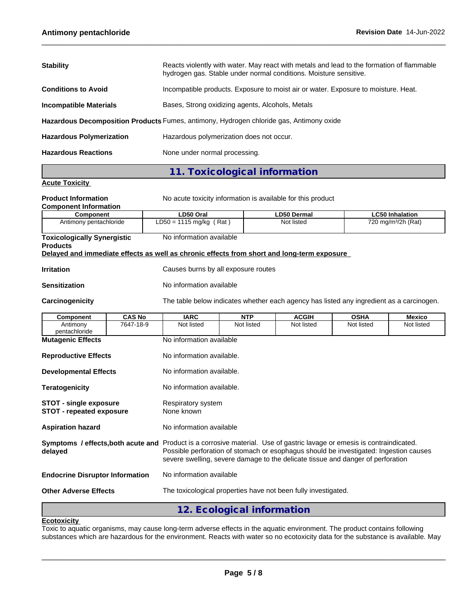| <b>Stability</b>                                                                        | Reacts violently with water. May react with metals and lead to the formation of flammable<br>hydrogen gas. Stable under normal conditions. Moisture sensitive. |  |  |
|-----------------------------------------------------------------------------------------|----------------------------------------------------------------------------------------------------------------------------------------------------------------|--|--|
| <b>Conditions to Avoid</b>                                                              | Incompatible products. Exposure to moist air or water. Exposure to moisture. Heat.                                                                             |  |  |
| <b>Incompatible Materials</b>                                                           | Bases, Strong oxidizing agents, Alcohols, Metals                                                                                                               |  |  |
| Hazardous Decomposition Products Fumes, antimony, Hydrogen chloride gas, Antimony oxide |                                                                                                                                                                |  |  |
| <b>Hazardous Polymerization</b>                                                         | Hazardous polymerization does not occur.                                                                                                                       |  |  |
| <b>Hazardous Reactions</b>                                                              | None under normal processing.                                                                                                                                  |  |  |
|                                                                                         |                                                                                                                                                                |  |  |

# **11. Toxicological information**

## **Acute Toxicity**

**Product Information** No acute toxicity information is available for this product

## **Component Information**

| Component                          | LD50 Oral                                                                                  | <b>LD50 Dermal</b> | <b>LC50 Inhalation</b>          |
|------------------------------------|--------------------------------------------------------------------------------------------|--------------------|---------------------------------|
| Antimony pentachloride             | $LD50 = 1115 mg/kg (Rat)$                                                                  | Not listed         | 720 mg/m <sup>3</sup> /2h (Rat) |
|                                    |                                                                                            |                    |                                 |
| <b>Toxicologically Synergistic</b> | No information available                                                                   |                    |                                 |
| <b>Products</b>                    |                                                                                            |                    |                                 |
|                                    | Delayed and immediate effects as well as chronic effects from short and long-term exposure |                    |                                 |

**Irritation Intervellet Causes burns by all exposure routes** 

## **Sensitization** No information available

**Carcinogenicity** The table below indicateswhether each agency has listed any ingredient as a carcinogen.

| <b>Component</b>                                                 | <b>CAS No</b>               | <b>IARC</b>                                                                                                                                                                                                                                                                                         | <b>NTP</b>                 | <b>ACGIH</b> | <b>OSHA</b> | <b>Mexico</b> |  |  |  |
|------------------------------------------------------------------|-----------------------------|-----------------------------------------------------------------------------------------------------------------------------------------------------------------------------------------------------------------------------------------------------------------------------------------------------|----------------------------|--------------|-------------|---------------|--|--|--|
| Antimony<br>pentachloride                                        | 7647-18-9                   | Not listed                                                                                                                                                                                                                                                                                          | Not listed                 | Not listed   | Not listed  | Not listed    |  |  |  |
| <b>Mutagenic Effects</b>                                         |                             | No information available                                                                                                                                                                                                                                                                            |                            |              |             |               |  |  |  |
|                                                                  | <b>Reproductive Effects</b> |                                                                                                                                                                                                                                                                                                     | No information available.  |              |             |               |  |  |  |
| <b>Developmental Effects</b>                                     |                             | No information available.                                                                                                                                                                                                                                                                           |                            |              |             |               |  |  |  |
| <b>Teratogenicity</b>                                            |                             | No information available.                                                                                                                                                                                                                                                                           |                            |              |             |               |  |  |  |
| <b>STOT - single exposure</b><br><b>STOT - repeated exposure</b> |                             | Respiratory system<br>None known                                                                                                                                                                                                                                                                    |                            |              |             |               |  |  |  |
| <b>Aspiration hazard</b>                                         |                             | No information available                                                                                                                                                                                                                                                                            |                            |              |             |               |  |  |  |
| delayed                                                          |                             | Symptoms / effects, both acute and Product is a corrosive material. Use of gastric lavage or emesis is contraindicated.<br>Possible perforation of stomach or esophagus should be investigated: Ingestion causes<br>severe swelling, severe damage to the delicate tissue and danger of perforation |                            |              |             |               |  |  |  |
| <b>Endocrine Disruptor Information</b>                           |                             | No information available                                                                                                                                                                                                                                                                            |                            |              |             |               |  |  |  |
| <b>Other Adverse Effects</b>                                     |                             | The toxicological properties have not been fully investigated.                                                                                                                                                                                                                                      |                            |              |             |               |  |  |  |
|                                                                  |                             |                                                                                                                                                                                                                                                                                                     | 12. Ecological information |              |             |               |  |  |  |

#### **Ecotoxicity**

Toxic to aquatic organisms, may cause long-term adverse effects in the aquatic environment. The product contains following substances which are hazardous for the environment. Reacts with water so no ecotoxicity data for the substance is available. May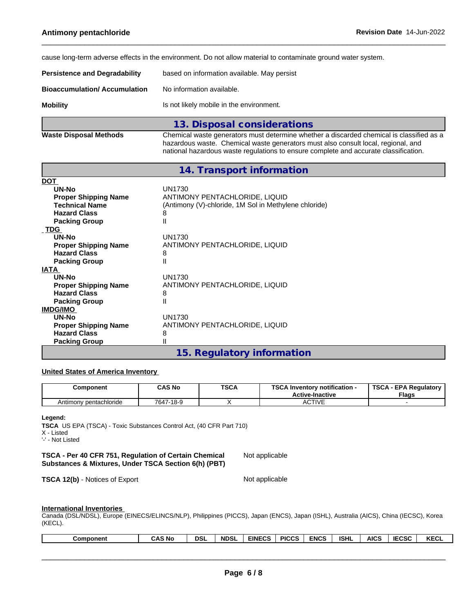cause long-term adverse effects in the environment. Do not allow material to contaminate ground water system.

| <b>Persistence and Degradability</b> | based on information available. May persist |
|--------------------------------------|---------------------------------------------|
| Bioaccumulation/ Accumulation        | No information available.                   |
| Mobility                             | Is not likely mobile in the environment.    |
|                                      | 13 Disnosal considerations                  |

|                        | <u>io. Disposal constantians is</u>                                                      |
|------------------------|------------------------------------------------------------------------------------------|
| Waste Disposal Methods | Chemical waste generators must determine whether a discarded chemical is classified as a |
|                        | hazardous waste. Chemical waste generators must also consult local, regional, and        |
|                        | national hazardous waste regulations to ensure complete and accurate classification.     |

|                             | 14. Transport information                             |
|-----------------------------|-------------------------------------------------------|
| <b>DOT</b>                  |                                                       |
| UN-No                       | <b>UN1730</b>                                         |
| <b>Proper Shipping Name</b> | ANTIMONY PENTACHLORIDE, LIQUID                        |
| <b>Technical Name</b>       | (Antimony (V)-chloride, 1M Sol in Methylene chloride) |
| <b>Hazard Class</b>         | 8                                                     |
| <b>Packing Group</b>        | Ш                                                     |
| <b>TDG</b>                  |                                                       |
| UN-No                       | UN1730                                                |
| <b>Proper Shipping Name</b> | ANTIMONY PENTACHLORIDE, LIQUID                        |
| <b>Hazard Class</b>         | 8                                                     |
| <b>Packing Group</b>        | Ш                                                     |
| <b>IATA</b>                 |                                                       |
| UN-No                       | <b>UN1730</b>                                         |
| <b>Proper Shipping Name</b> | ANTIMONY PENTACHLORIDE, LIQUID                        |
| <b>Hazard Class</b>         | 8                                                     |
| <b>Packing Group</b>        | Ш                                                     |
| <b>IMDG/IMO</b>             |                                                       |
| <b>UN-No</b>                | <b>UN1730</b>                                         |
| <b>Proper Shipping Name</b> | ANTIMONY PENTACHLORIDE, LIQUID                        |
| <b>Hazard Class</b>         | 8                                                     |
| <b>Packing Group</b>        | Ш                                                     |
|                             | .                                                     |

## **15. Regulatory information**

## **United States of America Inventory**

| Component              | CAS No    | <b>TSCA</b> | <b>TSCA</b><br>Inventory notification -<br><b>Active-Inactive</b> | א ה ד<br><b>EPA Requiatory</b><br>שכ<br><b>Flags</b> |
|------------------------|-----------|-------------|-------------------------------------------------------------------|------------------------------------------------------|
| Antimony pentachloride | 7647-18-9 |             | <b>CTIVE</b><br>v                                                 |                                                      |

#### **Legend:**

**TSCA** US EPA (TSCA) - Toxic Substances Control Act, (40 CFR Part 710) X - Listed '-' - Not Listed

**TSCA - Per 40 CFR 751,Regulation of Certain Chemical Substances & Mixtures, Under TSCA Section 6(h) (PBT)** Not applicable

**TSCA 12(b)** - Notices of Export Not applicable

 $\_$  ,  $\_$  ,  $\_$  ,  $\_$  ,  $\_$  ,  $\_$  ,  $\_$  ,  $\_$  ,  $\_$  ,  $\_$  ,  $\_$  ,  $\_$  ,  $\_$  ,  $\_$  ,  $\_$  ,  $\_$  ,  $\_$  ,  $\_$  ,  $\_$  ,  $\_$  ,  $\_$  ,  $\_$  ,  $\_$  ,  $\_$  ,  $\_$  ,  $\_$  ,  $\_$  ,  $\_$  ,  $\_$  ,  $\_$  ,  $\_$  ,  $\_$  ,  $\_$  ,  $\_$  ,  $\_$  ,  $\_$  ,  $\_$  ,

### **International Inventories**

Canada (DSL/NDSL), Europe (EINECS/ELINCS/NLP), Philippines (PICCS), Japan (ENCS), Japan (ISHL), Australia (AICS), China (IECSC), Korea (KECL).

| <b>KECL</b><br><b>AS No</b><br><b>NDSL</b><br>AICS<br><b>ENCS</b><br><b>PICCS</b><br><b>ISHL</b><br><b>EINECS</b><br>DSL<br>Component<br>טכט:<br>unu |
|------------------------------------------------------------------------------------------------------------------------------------------------------|
|------------------------------------------------------------------------------------------------------------------------------------------------------|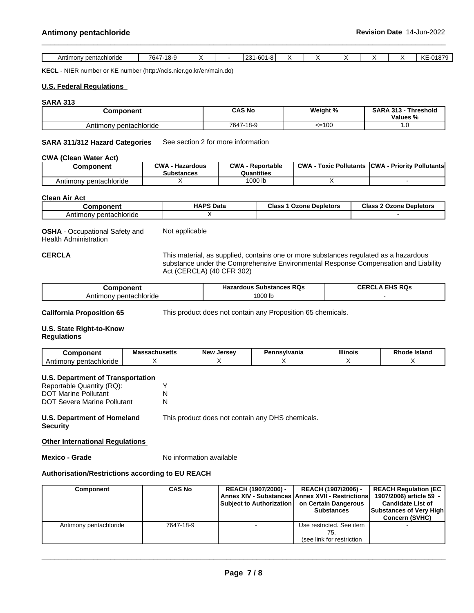| ™ Antimon<br>ov pentachloride | $18-9$<br>$701-$<br>$^{\prime}$ h4 |  | $\sim$<br>یں ا<br>-bu<br>٠.,<br>ت - |  |  | 0.4070<br>$\mathbf{r}$<br>$\cdot$<br>$\mathbf{L}$<br>-טוטו |
|-------------------------------|------------------------------------|--|-------------------------------------|--|--|------------------------------------------------------------|

**KECL** - NIER number or KE number (http://ncis.nier.go.kr/en/main.do)

### **U.S. Federal Regulations**

#### **SARA 313**

| Component              | <b>CAS No</b>                 | Weight % | <b>SARA 313</b><br>.<br>Threshold<br>Values % |
|------------------------|-------------------------------|----------|-----------------------------------------------|
| Antimony pentachloride | $-18-9$<br><b>7047</b><br>041 | <=100    | . - ب                                         |

**SARA 311/312 Hazard Categories** See section 2 for more information

#### **CWA** (Clean Water Act)

| Component                   | <b>CWA</b><br><b>Hazardous</b><br>- -<br><b>Substances</b> | ∩W∆<br>- Reportable<br>Quantities | <b>CWA</b><br>: Pollutants<br>Toxic | <b>CWA</b><br>· Prioritv Pollutantsl |
|-----------------------------|------------------------------------------------------------|-----------------------------------|-------------------------------------|--------------------------------------|
| , pentachloride<br>Antimonv |                                                            | 1000 lb                           |                                     |                                      |

## **Clean Air Act**

| Component                   | <b>HAPS Data</b> | <b>Class</b><br><b>Ozone Depletors</b> | Class 2<br>∽.<br>: Depletors<br>Ozone |
|-----------------------------|------------------|----------------------------------------|---------------------------------------|
| / pentachloride<br>Antımony |                  |                                        |                                       |

**OSHA** - Occupational Safety and Health Administration Not applicable

**CERCLA** This material, as supplied, contains one or more substances regulated as a hazardous substance under the Comprehensive Environmental Response Compensation and Liability Act (CERCLA) (40 CFR 302)

| ---------                              | <b>RQs</b><br><b>Substances</b><br>.<br>zardous<br>пa. | FIBA<br>. RQ-<br>нк<br>◡⊏ |
|----------------------------------------|--------------------------------------------------------|---------------------------|
| :hloride<br>Antir.<br>Ŋθ<br>uon.<br>на | 000 lb                                                 |                           |

**California Proposition 65** This product does not contain any Proposition 65 chemicals.

## **U.S. State Right-to-Know**

## **Regulations**

| $\cdots$ anone<br>יוסו                                                   | <b>Shucatte</b><br><br>saunustus | <b>New</b><br>Jersev | divania !<br>п.<br>сшэ | <b>Illinois</b> | <b>Island</b><br>эае<br>ĸш |
|--------------------------------------------------------------------------|----------------------------------|----------------------|------------------------|-----------------|----------------------------|
| Antooblorida<br>$\Lambda$ ntire<br><b>TIOLIDE</b><br><b>IUITIOI</b><br>w |                                  |                      |                        |                 |                            |

#### **U.S. Department of Transportation**

| Reportable Quantity (RQ):          |   |
|------------------------------------|---|
| <b>DOT Marine Pollutant</b>        | N |
| <b>DOT Severe Marine Pollutant</b> | N |

# **U.S. Department of Homeland**

This product does not contain any DHS chemicals.

## **Security**

**Other International Regulations**

**Mexico - Grade** No information available

## **Authorisation/Restrictions according to EU REACH**

| <b>Component</b>       | <b>CAS No</b> | REACH (1907/2006) -<br>Subject to Authorization   on Certain Dangerous | REACH (1907/2006) -<br><b>Annex XIV - Substances Annex XVII - Restrictions</b><br><b>Substances</b> | <b>REACH Requlation (EC</b><br>1907/2006) article 59 -<br><b>Candidate List of</b><br>Substances of Very High<br><b>Concern (SVHC)</b> |  |
|------------------------|---------------|------------------------------------------------------------------------|-----------------------------------------------------------------------------------------------------|----------------------------------------------------------------------------------------------------------------------------------------|--|
| Antimony pentachloride | 7647-18-9     |                                                                        | Use restricted. See item<br>(see link for restriction                                               |                                                                                                                                        |  |